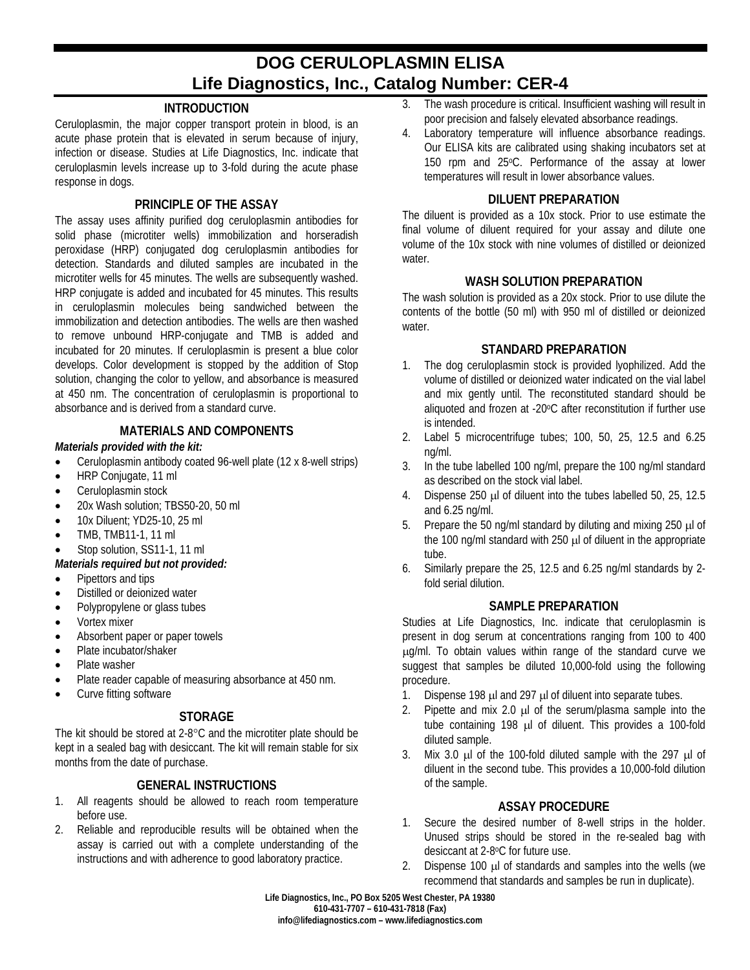# **DOG CERULOPLASMIN ELISA Life Diagnostics, Inc., Catalog Number: CER-4**

## **INTRODUCTION**

Ceruloplasmin, the major copper transport protein in blood, is an acute phase protein that is elevated in serum because of injury, infection or disease. Studies at Life Diagnostics, Inc. indicate that ceruloplasmin levels increase up to 3-fold during the acute phase response in dogs.

### **PRINCIPLE OF THE ASSAY**

The assay uses affinity purified dog ceruloplasmin antibodies for solid phase (microtiter wells) immobilization and horseradish peroxidase (HRP) conjugated dog ceruloplasmin antibodies for detection. Standards and diluted samples are incubated in the microtiter wells for 45 minutes. The wells are subsequently washed. HRP conjugate is added and incubated for 45 minutes. This results in ceruloplasmin molecules being sandwiched between the immobilization and detection antibodies. The wells are then washed to remove unbound HRP-conjugate and TMB is added and incubated for 20 minutes. If ceruloplasmin is present a blue color develops. Color development is stopped by the addition of Stop solution, changing the color to yellow, and absorbance is measured at 450 nm. The concentration of ceruloplasmin is proportional to absorbance and is derived from a standard curve.

## **MATERIALS AND COMPONENTS**

#### *Materials provided with the kit:*

- Ceruloplasmin antibody coated 96-well plate (12 x 8-well strips)
- HRP Conjugate, 11 ml
- Ceruloplasmin stock
- 20x Wash solution; TBS50-20, 50 ml
- 10x Diluent; YD25-10, 25 ml
- TMB, TMB11-1, 11 ml
- Stop solution, SS11-1, 11 ml
- *Materials required but not provided:*
- Pipettors and tips
- Distilled or deionized water
- Polypropylene or glass tubes
- Vortex mixer
- Absorbent paper or paper towels
- Plate incubator/shaker
- Plate washer
- Plate reader capable of measuring absorbance at 450 nm.
- Curve fitting software

# **STORAGE**

The kit should be stored at 2-8°C and the microtiter plate should be kept in a sealed bag with desiccant. The kit will remain stable for six months from the date of purchase.

# **GENERAL INSTRUCTIONS**

- 1. All reagents should be allowed to reach room temperature before use.
- 2. Reliable and reproducible results will be obtained when the assay is carried out with a complete understanding of the instructions and with adherence to good laboratory practice.
- 3. The wash procedure is critical. Insufficient washing will result in poor precision and falsely elevated absorbance readings.
- 4. Laboratory temperature will influence absorbance readings. Our ELISA kits are calibrated using shaking incubators set at 150 rpm and 25°C. Performance of the assay at lower temperatures will result in lower absorbance values.

#### **DILUENT PREPARATION**

The diluent is provided as a 10x stock. Prior to use estimate the final volume of diluent required for your assay and dilute one volume of the 10x stock with nine volumes of distilled or deionized water.

#### **WASH SOLUTION PREPARATION**

The wash solution is provided as a 20x stock. Prior to use dilute the contents of the bottle (50 ml) with 950 ml of distilled or deionized water.

#### **STANDARD PREPARATION**

- 1. The dog ceruloplasmin stock is provided lyophilized. Add the volume of distilled or deionized water indicated on the vial label and mix gently until. The reconstituted standard should be aliquoted and frozen at -20°C after reconstitution if further use is intended.
- 2. Label 5 microcentrifuge tubes; 100, 50, 25, 12.5 and 6.25 ng/ml.
- 3. In the tube labelled 100 ng/ml, prepare the 100 ng/ml standard as described on the stock vial label.
- 4. Dispense 250 µl of diluent into the tubes labelled 50, 25, 12.5 and 6.25 ng/ml.
- 5. Prepare the 50 ng/ml standard by diluting and mixing 250 µl of the 100 ng/ml standard with 250  $\mu$  of diluent in the appropriate tube.
- 6. Similarly prepare the 25, 12.5 and 6.25 ng/ml standards by 2 fold serial dilution.

## **SAMPLE PREPARATION**

Studies at Life Diagnostics, Inc. indicate that ceruloplasmin is present in dog serum at concentrations ranging from 100 to 400 µg/ml. To obtain values within range of the standard curve we suggest that samples be diluted 10,000-fold using the following procedure.

- 1. Dispense 198 µl and 297 µl of diluent into separate tubes.
- 2. Pipette and mix 2.0  $\mu$  of the serum/plasma sample into the tube containing 198 µl of diluent. This provides a 100-fold diluted sample.
- 3. Mix 3.0  $\mu$ l of the 100-fold diluted sample with the 297  $\mu$ l of diluent in the second tube. This provides a 10,000-fold dilution of the sample.

### **ASSAY PROCEDURE**

- 1. Secure the desired number of 8-well strips in the holder. Unused strips should be stored in the re-sealed bag with desiccant at 2-8oC for future use.
- 2. Dispense 100 µ of standards and samples into the wells (we recommend that standards and samples be run in duplicate).

**Life Diagnostics, Inc., PO Box 5205 West Chester, PA 19380 610-431-7707 – 610-431-7818 (Fax) info@lifediagnostics.com – www.lifediagnostics.com**